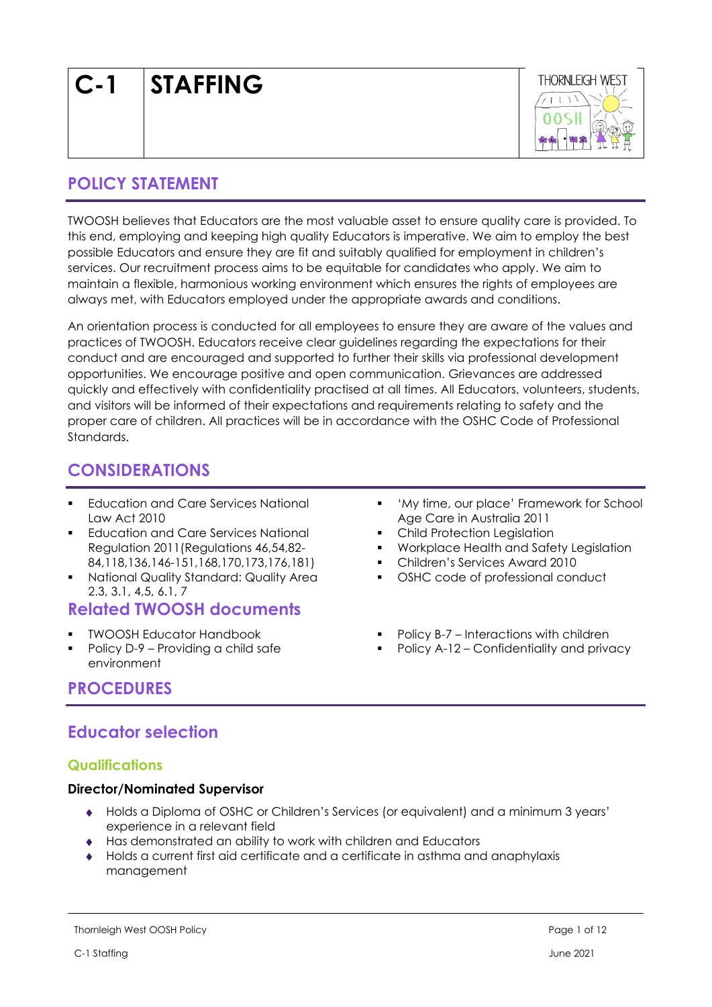| <b>STAFFING</b> |
|-----------------|
|                 |



# **POLICY STATEMENT**

TWOOSH believes that Educators are the most valuable asset to ensure quality care is provided. To this end, employing and keeping high quality Educators is imperative. We aim to employ the best possible Educators and ensure they are fit and suitably qualified for employment in children's services. Our recruitment process aims to be equitable for candidates who apply. We aim to maintain a flexible, harmonious working environment which ensures the rights of employees are always met, with Educators employed under the appropriate awards and conditions.

An orientation process is conducted for all employees to ensure they are aware of the values and practices of TWOOSH. Educators receive clear guidelines regarding the expectations for their conduct and are encouraged and supported to further their skills via professional development opportunities. We encourage positive and open communication. Grievances are addressed quickly and effectively with confidentiality practised at all times. All Educators, volunteers, students, and visitors will be informed of their expectations and requirements relating to safety and the proper care of children. All practices will be in accordance with the OSHC Code of Professional Standards.

# **CONSIDERATIONS**

- Education and Care Services National Law Act 2010
- Education and Care Services National Regulation 2011(Regulations 46,54,82- 84,118,136,146-151,168,170,173,176,181)
- National Quality Standard: Quality Area 2.3, 3.1, 4,5, 6.1, 7

# **Related TWOOSH documents**

- **TWOOSH Educator Handbook**
- Policy D-9 Providing a child safe environment
- 'My time, our place' Framework for School Age Care in Australia 2011
- Child Protection Leaislation
- Workplace Health and Safety Legislation
- Children's Services Award 2010
- OSHC code of professional conduct
- Policy B-7 Interactions with children
- Policy A-12 Confidentiality and privacy

# **PROCEDURES**

# **Educator selection**

### **Qualifications**

### **Director/Nominated Supervisor**

- Holds a Diploma of OSHC or Children's Services (or equivalent) and a minimum 3 years' experience in a relevant field
- Has demonstrated an ability to work with children and Educators
- Holds a current first aid certificate and a certificate in asthma and anaphylaxis management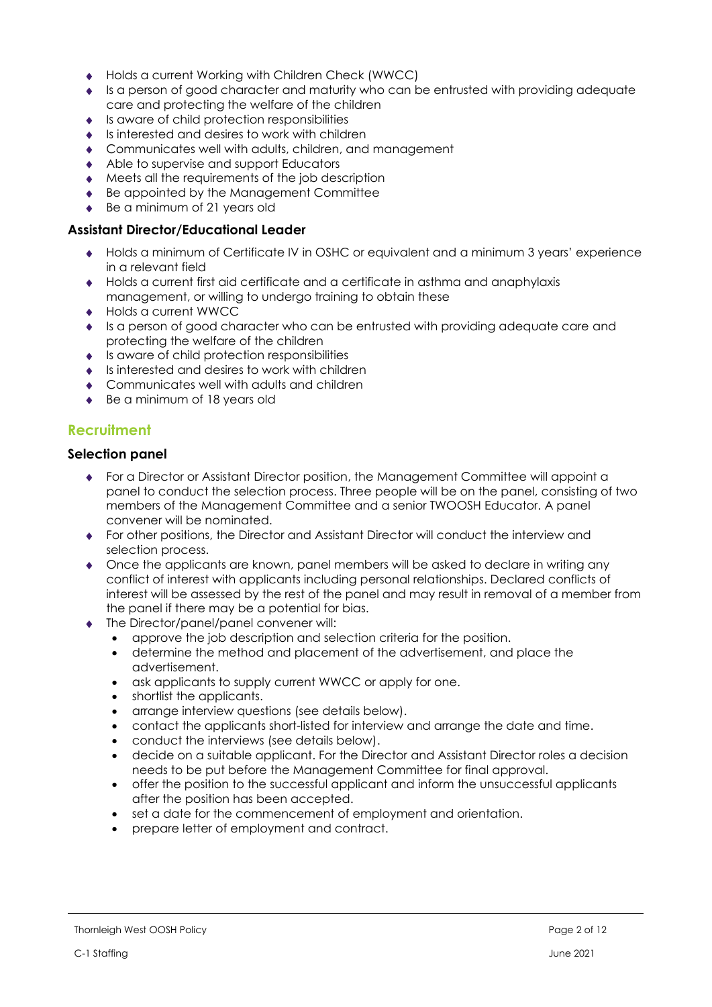- ◆ Holds a current Working with Children Check (WWCC)
- Is a person of good character and maturity who can be entrusted with providing adequate care and protecting the welfare of the children
- $\bullet$  Is aware of child protection responsibilities
- $\bullet$  Is interested and desires to work with children
- Communicates well with adults, children, and management
- Able to supervise and support Educators
- Meets all the requirements of the job description
- ◆ Be appointed by the Management Committee
- ◆ Be a minimum of 21 years old

#### **Assistant Director/Educational Leader**

- Holds a minimum of Certificate IV in OSHC or equivalent and a minimum 3 years' experience in a relevant field
- Holds a current first aid certificate and a certificate in asthma and anaphylaxis management, or willing to undergo training to obtain these
- ◆ Holds a current WWCC
- Is a person of good character who can be entrusted with providing adequate care and protecting the welfare of the children
- $\bullet$  Is aware of child protection responsibilities
- $\bullet$  Is interested and desires to work with children
- ◆ Communicates well with adults and children
- ◆ Be a minimum of 18 years old

### **Recruitment**

### **Selection panel**

- For a Director or Assistant Director position, the Management Committee will appoint a panel to conduct the selection process. Three people will be on the panel, consisting of two members of the Management Committee and a senior TWOOSH Educator. A panel convener will be nominated.
- For other positions, the Director and Assistant Director will conduct the interview and selection process.
- Once the applicants are known, panel members will be asked to declare in writing any conflict of interest with applicants including personal relationships. Declared conflicts of interest will be assessed by the rest of the panel and may result in removal of a member from the panel if there may be a potential for bias.
- The Director/panel/panel convener will:
	- approve the job description and selection criteria for the position.
	- determine the method and placement of the advertisement, and place the advertisement.
	- ask applicants to supply current WWCC or apply for one.
	- shortlist the applicants.
	- arrange interview questions (see details below).
	- contact the applicants short-listed for interview and arrange the date and time.
	- conduct the interviews (see details below).
	- decide on a suitable applicant. For the Director and Assistant Director roles a decision needs to be put before the Management Committee for final approval.
	- offer the position to the successful applicant and inform the unsuccessful applicants after the position has been accepted.
	- set a date for the commencement of employment and orientation.
	- prepare letter of employment and contract.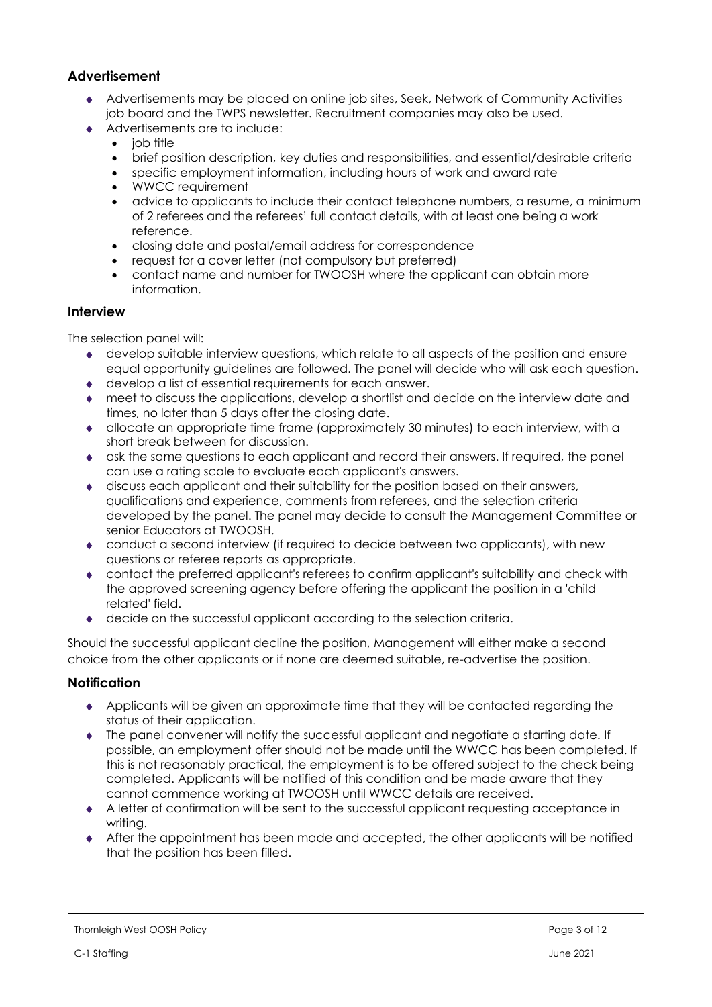### **Advertisement**

- Advertisements may be placed on online job sites, Seek, Network of Community Activities job board and the TWPS newsletter. Recruitment companies may also be used.
- Advertisements are to include:
	- job title
	- brief position description, key duties and responsibilities, and essential/desirable criteria
	- specific employment information, including hours of work and award rate
	- WWCC requirement
	- advice to applicants to include their contact telephone numbers, a resume, a minimum of 2 referees and the referees' full contact details, with at least one being a work reference.
	- closing date and postal/email address for correspondence
	- request for a cover letter (not compulsory but preferred)
	- contact name and number for TWOOSH where the applicant can obtain more information.

#### **Interview**

The selection panel will:

- develop suitable interview questions, which relate to all aspects of the position and ensure equal opportunity guidelines are followed. The panel will decide who will ask each question.
- develop a list of essential requirements for each answer.
- meet to discuss the applications, develop a shortlist and decide on the interview date and times, no later than 5 days after the closing date.
- allocate an appropriate time frame (approximately 30 minutes) to each interview, with a short break between for discussion.
- ask the same questions to each applicant and record their answers. If required, the panel can use a rating scale to evaluate each applicant's answers.
- discuss each applicant and their suitability for the position based on their answers, qualifications and experience, comments from referees, and the selection criteria developed by the panel. The panel may decide to consult the Management Committee or senior Educators at TWOOSH.
- conduct a second interview (if required to decide between two applicants), with new questions or referee reports as appropriate.
- contact the preferred applicant's referees to confirm applicant's suitability and check with the approved screening agency before offering the applicant the position in a 'child related' field.
- decide on the successful applicant according to the selection criteria.

Should the successful applicant decline the position, Management will either make a second choice from the other applicants or if none are deemed suitable, re-advertise the position.

#### **Notification**

- Applicants will be given an approximate time that they will be contacted regarding the status of their application.
- The panel convener will notify the successful applicant and negotiate a starting date. If possible, an employment offer should not be made until the WWCC has been completed. If this is not reasonably practical, the employment is to be offered subject to the check being completed. Applicants will be notified of this condition and be made aware that they cannot commence working at TWOOSH until WWCC details are received.
- A letter of confirmation will be sent to the successful applicant requesting acceptance in writing.
- After the appointment has been made and accepted, the other applicants will be notified that the position has been filled.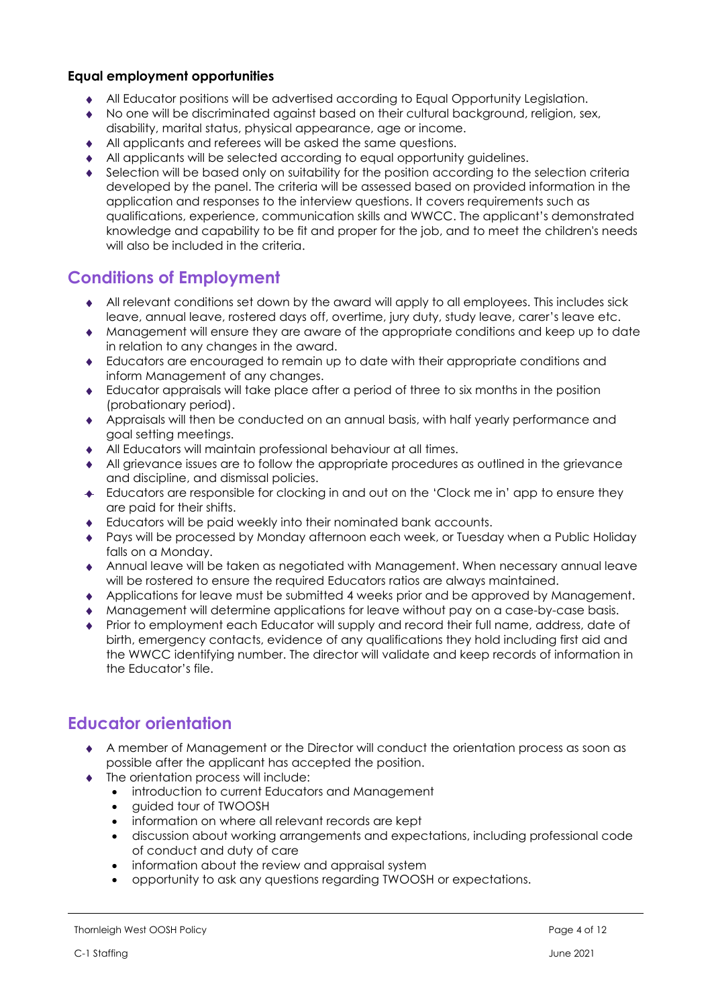### **Equal employment opportunities**

- All Educator positions will be advertised according to Equal Opportunity Legislation.
- No one will be discriminated against based on their cultural background, religion, sex,
- disability, marital status, physical appearance, age or income.
- All applicants and referees will be asked the same questions.
- All applicants will be selected according to equal opportunity guidelines.
- Selection will be based only on suitability for the position according to the selection criteria developed by the panel. The criteria will be assessed based on provided information in the application and responses to the interview questions. It covers requirements such as qualifications, experience, communication skills and WWCC. The applicant's demonstrated knowledge and capability to be fit and proper for the job, and to meet the children's needs will also be included in the criteria.

# **Conditions of Employment**

- All relevant conditions set down by the award will apply to all employees. This includes sick leave, annual leave, rostered days off, overtime, jury duty, study leave, carer's leave etc.
- Management will ensure they are aware of the appropriate conditions and keep up to date in relation to any changes in the award.
- Educators are encouraged to remain up to date with their appropriate conditions and inform Management of any changes.
- Educator appraisals will take place after a period of three to six months in the position (probationary period).
- Appraisals will then be conducted on an annual basis, with half yearly performance and goal setting meetings.
- All Educators will maintain professional behaviour at all times.
- All grievance issues are to follow the appropriate procedures as outlined in the grievance and discipline, and dismissal policies.
- Educators are responsible for clocking in and out on the 'Clock me in' app to ensure they are paid for their shifts.
- Educators will be paid weekly into their nominated bank accounts.
- Pays will be processed by Monday afternoon each week, or Tuesday when a Public Holiday falls on a Monday.
- Annual leave will be taken as negotiated with Management. When necessary annual leave will be rostered to ensure the required Educators ratios are always maintained.
- Applications for leave must be submitted 4 weeks prior and be approved by Management.
- Management will determine applications for leave without pay on a case-by-case basis.
- Prior to employment each Educator will supply and record their full name, address, date of birth, emergency contacts, evidence of any qualifications they hold including first aid and the WWCC identifying number. The director will validate and keep records of information in the Educator's file.

### **Educator orientation**

- A member of Management or the Director will conduct the orientation process as soon as possible after the applicant has accepted the position.
- The orientation process will include:
	- introduction to current Educators and Management
	- guided tour of TWOOSH
	- information on where all relevant records are kept
	- discussion about working arrangements and expectations, including professional code of conduct and duty of care
	- information about the review and appraisal system
	- opportunity to ask any questions regarding TWOOSH or expectations.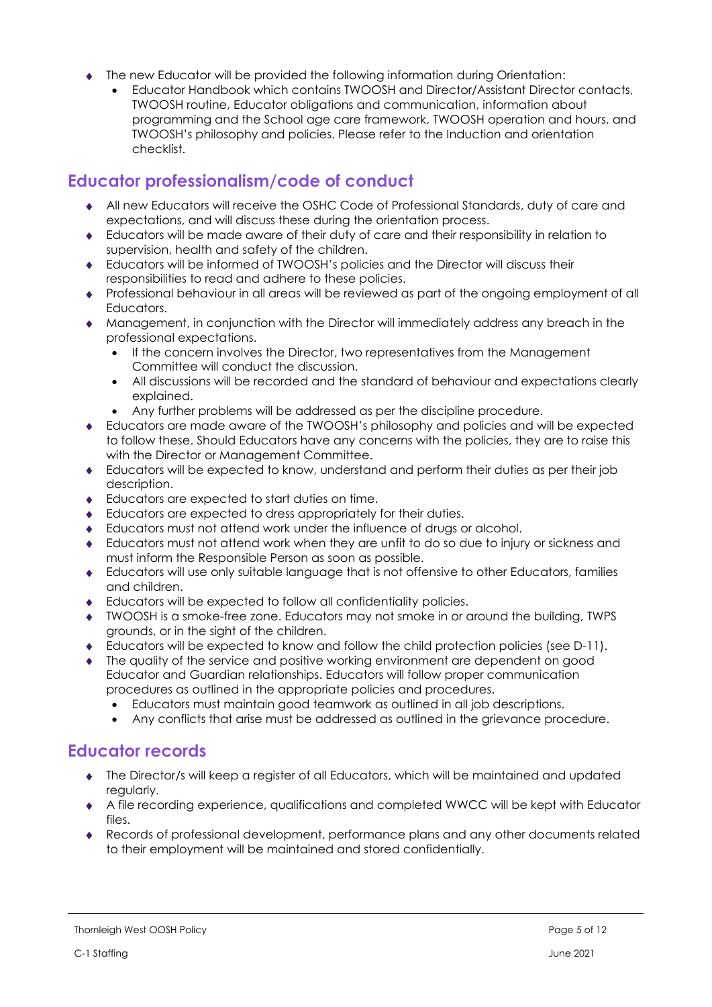- The new Educator will be provided the following information during Orientation:
	- Educator Handbook which contains TWOOSH and Director/Assistant Director contacts, TWOOSH routine, Educator obligations and communication, information about programming and the School age care framework, TWOOSH operation and hours, and TWOOSH's philosophy and policies. Please refer to the Induction and orientation checklist.

# **Educator professionalism/code of conduct**

- All new Educators will receive the OSHC Code of Professional Standards, duty of care and expectations, and will discuss these during the orientation process.
- Educators will be made aware of their duty of care and their responsibility in relation to supervision, health and safety of the children.
- Educators will be informed of TWOOSH's policies and the Director will discuss their responsibilities to read and adhere to these policies.
- Professional behaviour in all areas will be reviewed as part of the ongoing employment of all Educators.
- Management, in conjunction with the Director will immediately address any breach in the professional expectations.
	- If the concern involves the Director, two representatives from the Management Committee will conduct the discussion.
	- All discussions will be recorded and the standard of behaviour and expectations clearly explained.
	- Any further problems will be addressed as per the discipline procedure.
- Educators are made aware of the TWOOSH's philosophy and policies and will be expected to follow these. Should Educators have any concerns with the policies, they are to raise this with the Director or Management Committee.
- Educators will be expected to know, understand and perform their duties as per their job description.
- ◆ Educators are expected to start duties on time.
- Educators are expected to dress appropriately for their duties.
- Educators must not attend work under the influence of drugs or alcohol.
- Educators must not attend work when they are unfit to do so due to injury or sickness and must inform the Responsible Person as soon as possible.
- Educators will use only suitable language that is not offensive to other Educators, families and children.
- Educators will be expected to follow all confidentiality policies.
- TWOOSH is a smoke-free zone. Educators may not smoke in or around the building, TWPS grounds, or in the sight of the children.
- Educators will be expected to know and follow the child protection policies (see D-11).
- The quality of the service and positive working environment are dependent on good Educator and Guardian relationships. Educators will follow proper communication procedures as outlined in the appropriate policies and procedures.
	- Educators must maintain good teamwork as outlined in all job descriptions.
	- Any conflicts that arise must be addressed as outlined in the grievance procedure.

### **Educator records**

- The Director/s will keep a register of all Educators, which will be maintained and updated regularly.
- A file recording experience, qualifications and completed WWCC will be kept with Educator files.
- Records of professional development, performance plans and any other documents related to their employment will be maintained and stored confidentially.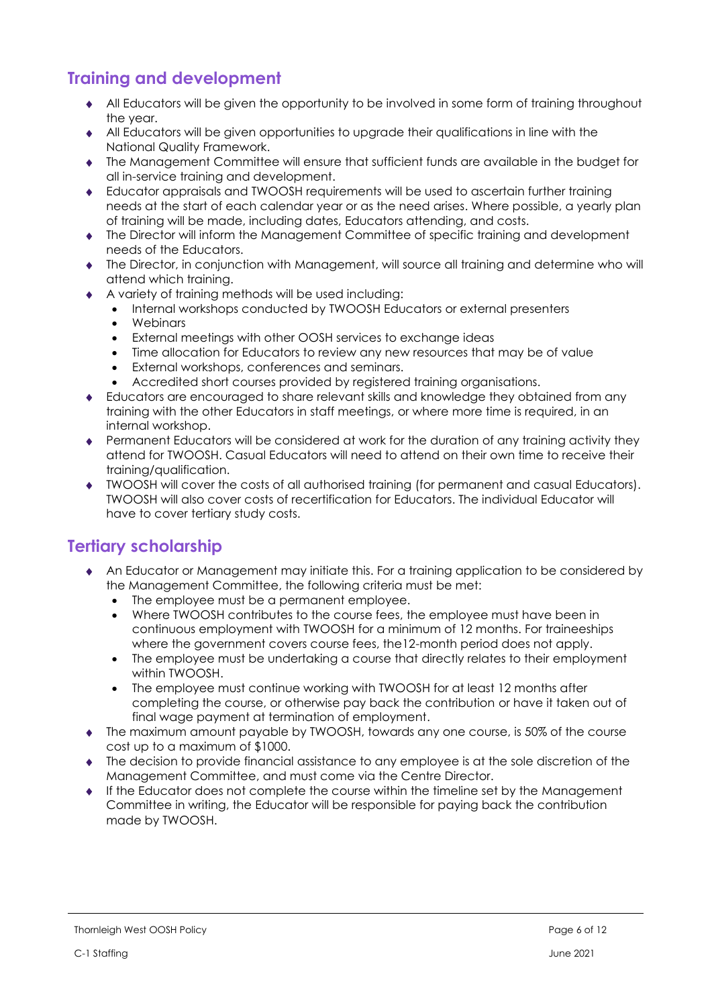# **Training and development**

- All Educators will be given the opportunity to be involved in some form of training throughout the year.
- All Educators will be given opportunities to upgrade their qualifications in line with the National Quality Framework.
- The Management Committee will ensure that sufficient funds are available in the budget for all in-service training and development.
- Educator appraisals and TWOOSH requirements will be used to ascertain further training needs at the start of each calendar year or as the need arises. Where possible, a yearly plan of training will be made, including dates, Educators attending, and costs.
- The Director will inform the Management Committee of specific training and development needs of the Educators.
- The Director, in conjunction with Management, will source all training and determine who will attend which training.
- A variety of training methods will be used including:
	- Internal workshops conducted by TWOOSH Educators or external presenters
	- Webinars
	- External meetings with other OOSH services to exchange ideas
	- Time allocation for Educators to review any new resources that may be of value
	- External workshops, conferences and seminars.
	- Accredited short courses provided by registered training organisations.
- Educators are encouraged to share relevant skills and knowledge they obtained from any training with the other Educators in staff meetings, or where more time is required, in an internal workshop.
- Permanent Educators will be considered at work for the duration of any training activity they attend for TWOOSH. Casual Educators will need to attend on their own time to receive their training/qualification.
- TWOOSH will cover the costs of all authorised training (for permanent and casual Educators). TWOOSH will also cover costs of recertification for Educators. The individual Educator will have to cover tertiary study costs.

### **Tertiary scholarship**

- An Educator or Management may initiate this. For a training application to be considered by the Management Committee, the following criteria must be met:
	- The employee must be a permanent employee.
	- Where TWOOSH contributes to the course fees, the employee must have been in continuous employment with TWOOSH for a minimum of 12 months. For traineeships where the government covers course fees, the12-month period does not apply.
	- The employee must be undertaking a course that directly relates to their employment within TWOOSH.
	- The employee must continue working with TWOOSH for at least 12 months after completing the course, or otherwise pay back the contribution or have it taken out of final wage payment at termination of employment.
- The maximum amount payable by TWOOSH, towards any one course, is 50% of the course cost up to a maximum of \$1000.
- The decision to provide financial assistance to any employee is at the sole discretion of the Management Committee, and must come via the Centre Director.
- If the Educator does not complete the course within the timeline set by the Management Committee in writing, the Educator will be responsible for paying back the contribution made by TWOOSH.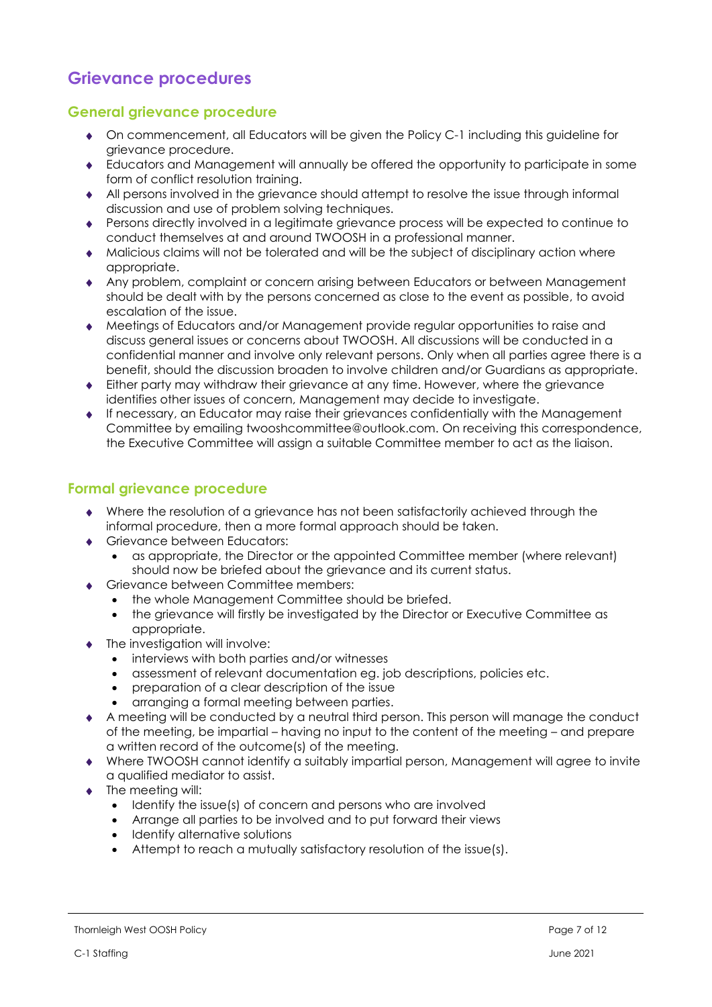# **Grievance procedures**

### **General grievance procedure**

- On commencement, all Educators will be given the Policy C-1 including this guideline for grievance procedure.
- Educators and Management will annually be offered the opportunity to participate in some form of conflict resolution training.
- All persons involved in the grievance should attempt to resolve the issue through informal discussion and use of problem solving techniques.
- Persons directly involved in a legitimate grievance process will be expected to continue to conduct themselves at and around TWOOSH in a professional manner.
- Malicious claims will not be tolerated and will be the subject of disciplinary action where appropriate.
- Any problem, complaint or concern arising between Educators or between Management should be dealt with by the persons concerned as close to the event as possible, to avoid escalation of the issue.
- Meetings of Educators and/or Management provide regular opportunities to raise and discuss general issues or concerns about TWOOSH. All discussions will be conducted in a confidential manner and involve only relevant persons. Only when all parties agree there is a benefit, should the discussion broaden to involve children and/or Guardians as appropriate.
- Either party may withdraw their grievance at any time. However, where the grievance identifies other issues of concern, Management may decide to investigate.
- If necessary, an Educator may raise their grievances confidentially with the Management Committee by emailing twooshcommittee@outlook.com. On receiving this correspondence, the Executive Committee will assign a suitable Committee member to act as the liaison.

### **Formal grievance procedure**

- Where the resolution of a grievance has not been satisfactorily achieved through the informal procedure, then a more formal approach should be taken.
- ◆ Grievance between Educators:
	- as appropriate, the Director or the appointed Committee member (where relevant) should now be briefed about the grievance and its current status.
- ◆ Grievance between Committee members:
	- the whole Management Committee should be briefed.
	- the grievance will firstly be investigated by the Director or Executive Committee as appropriate.
- The investigation will involve:
	- interviews with both parties and/or witnesses
	- assessment of relevant documentation eg. job descriptions, policies etc.
	- preparation of a clear description of the issue
	- arranging a formal meeting between parties.
- A meeting will be conducted by a neutral third person. This person will manage the conduct of the meeting, be impartial – having no input to the content of the meeting – and prepare a written record of the outcome(s) of the meeting.
- Where TWOOSH cannot identify a suitably impartial person, Management will agree to invite a qualified mediator to assist.
- The meeting will:
	- Identify the issue(s) of concern and persons who are involved
	- Arrange all parties to be involved and to put forward their views
	- Identify alternative solutions
	- Attempt to reach a mutually satisfactory resolution of the issue(s).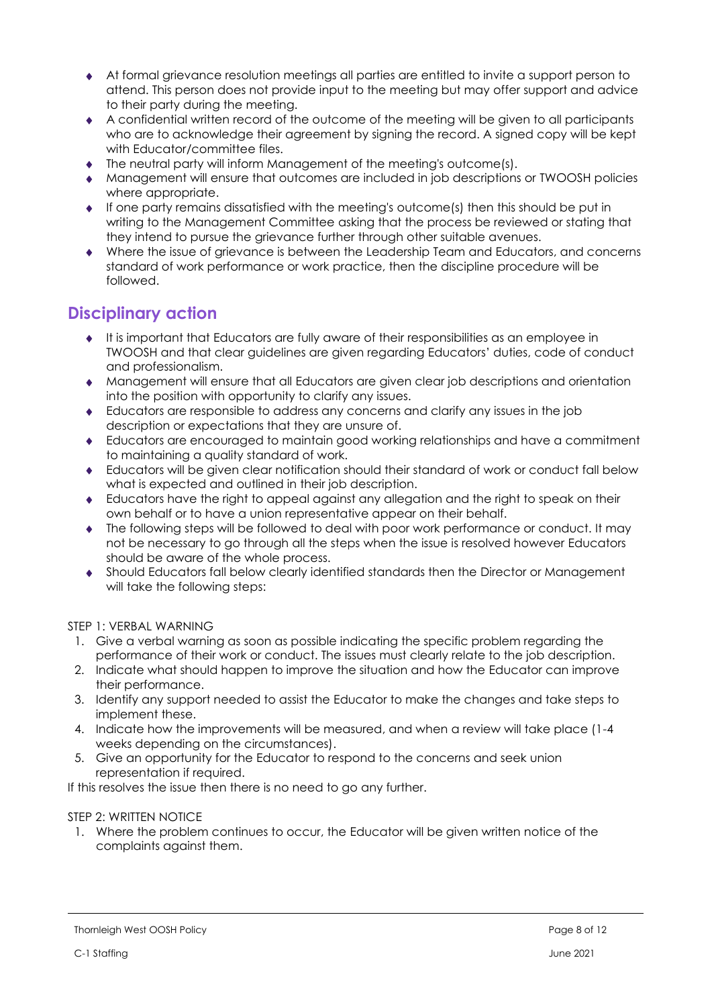- At formal grievance resolution meetings all parties are entitled to invite a support person to attend. This person does not provide input to the meeting but may offer support and advice to their party during the meeting.
- A confidential written record of the outcome of the meeting will be given to all participants who are to acknowledge their agreement by signing the record. A signed copy will be kept with Educator/committee files.
- $\bullet$  The neutral party will inform Management of the meeting's outcome(s).
- Management will ensure that outcomes are included in job descriptions or TWOOSH policies where appropriate.
- If one party remains dissatisfied with the meeting's outcome(s) then this should be put in writing to the Management Committee asking that the process be reviewed or stating that they intend to pursue the grievance further through other suitable avenues.
- Where the issue of grievance is between the Leadership Team and Educators, and concerns standard of work performance or work practice, then the discipline procedure will be followed.

# **Disciplinary action**

- $\bullet$  It is important that Educators are fully aware of their responsibilities as an employee in TWOOSH and that clear guidelines are given regarding Educators' duties, code of conduct and professionalism.
- Management will ensure that all Educators are given clear job descriptions and orientation into the position with opportunity to clarify any issues.
- Educators are responsible to address any concerns and clarify any issues in the job description or expectations that they are unsure of.
- Educators are encouraged to maintain good working relationships and have a commitment to maintaining a quality standard of work.
- Educators will be given clear notification should their standard of work or conduct fall below what is expected and outlined in their job description.
- Educators have the right to appeal against any allegation and the right to speak on their own behalf or to have a union representative appear on their behalf.
- The following steps will be followed to deal with poor work performance or conduct. It may not be necessary to go through all the steps when the issue is resolved however Educators should be aware of the whole process.
- Should Educators fall below clearly identified standards then the Director or Management will take the following steps:

STEP 1: VERBAL WARNING

- 1. Give a verbal warning as soon as possible indicating the specific problem regarding the performance of their work or conduct. The issues must clearly relate to the job description.
- 2. Indicate what should happen to improve the situation and how the Educator can improve their performance.
- 3. Identify any support needed to assist the Educator to make the changes and take steps to implement these.
- 4. Indicate how the improvements will be measured, and when a review will take place (1-4 weeks depending on the circumstances).
- 5. Give an opportunity for the Educator to respond to the concerns and seek union representation if required.

If this resolves the issue then there is no need to go any further.

#### STEP 2: WRITTEN NOTICE

1. Where the problem continues to occur, the Educator will be given written notice of the complaints against them.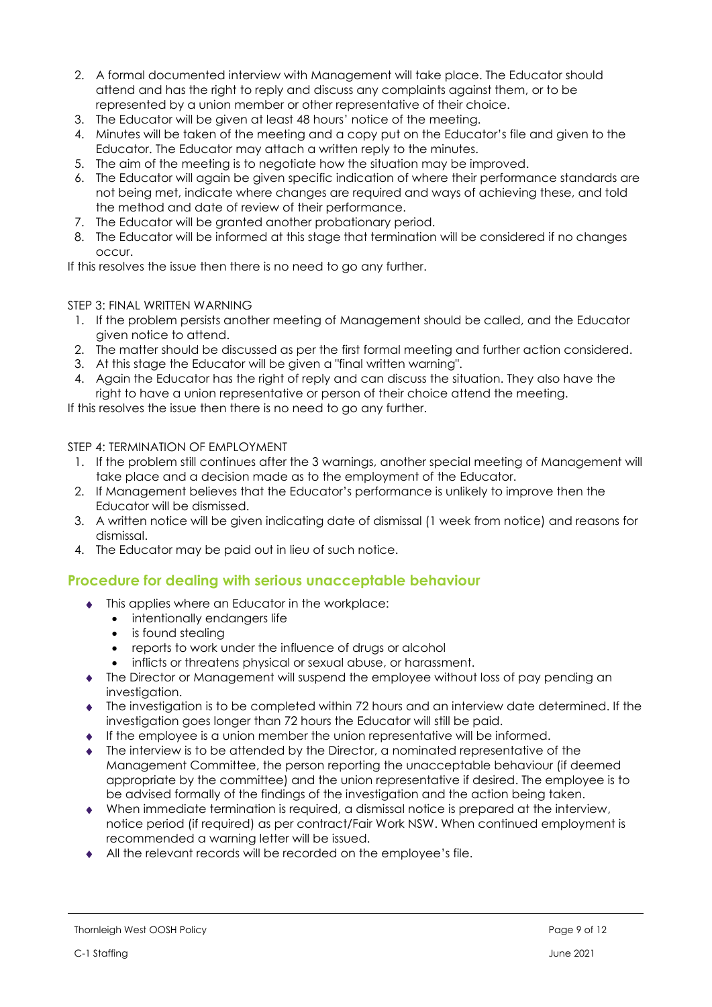- 2. A formal documented interview with Management will take place. The Educator should attend and has the right to reply and discuss any complaints against them, or to be represented by a union member or other representative of their choice.
- 3. The Educator will be given at least 48 hours' notice of the meeting.
- 4. Minutes will be taken of the meeting and a copy put on the Educator's file and given to the Educator. The Educator may attach a written reply to the minutes.
- 5. The aim of the meeting is to negotiate how the situation may be improved.
- 6. The Educator will again be given specific indication of where their performance standards are not being met, indicate where changes are required and ways of achieving these, and told the method and date of review of their performance.
- 7. The Educator will be granted another probationary period.
- 8. The Educator will be informed at this stage that termination will be considered if no changes occur.

If this resolves the issue then there is no need to go any further.

#### STEP 3: FINAL WRITTEN WARNING

- 1. If the problem persists another meeting of Management should be called, and the Educator given notice to attend.
- 2. The matter should be discussed as per the first formal meeting and further action considered.
- 3. At this stage the Educator will be given a "final written warning".
- 4. Again the Educator has the right of reply and can discuss the situation. They also have the right to have a union representative or person of their choice attend the meeting.

If this resolves the issue then there is no need to go any further.

STEP 4: TERMINATION OF EMPLOYMENT

- 1. If the problem still continues after the 3 warnings, another special meeting of Management will take place and a decision made as to the employment of the Educator.
- 2. If Management believes that the Educator's performance is unlikely to improve then the Educator will be dismissed.
- 3. A written notice will be given indicating date of dismissal (1 week from notice) and reasons for dismissal.
- 4. The Educator may be paid out in lieu of such notice.

### **Procedure for dealing with serious unacceptable behaviour**

- $\bullet$  This applies where an Educator in the workplace:
	- intentionally endangers life
	- is found stealing
	- reports to work under the influence of drugs or alcohol
	- inflicts or threatens physical or sexual abuse, or harassment.
- The Director or Management will suspend the employee without loss of pay pending an investigation.
- The investigation is to be completed within 72 hours and an interview date determined. If the investigation goes longer than 72 hours the Educator will still be paid.
- $\bullet$  If the employee is a union member the union representative will be informed.
- The interview is to be attended by the Director, a nominated representative of the Management Committee, the person reporting the unacceptable behaviour (if deemed appropriate by the committee) and the union representative if desired. The employee is to be advised formally of the findings of the investigation and the action being taken.
- When immediate termination is required, a dismissal notice is prepared at the interview, notice period (if required) as per contract/Fair Work NSW. When continued employment is recommended a warning letter will be issued.
- All the relevant records will be recorded on the employee's file.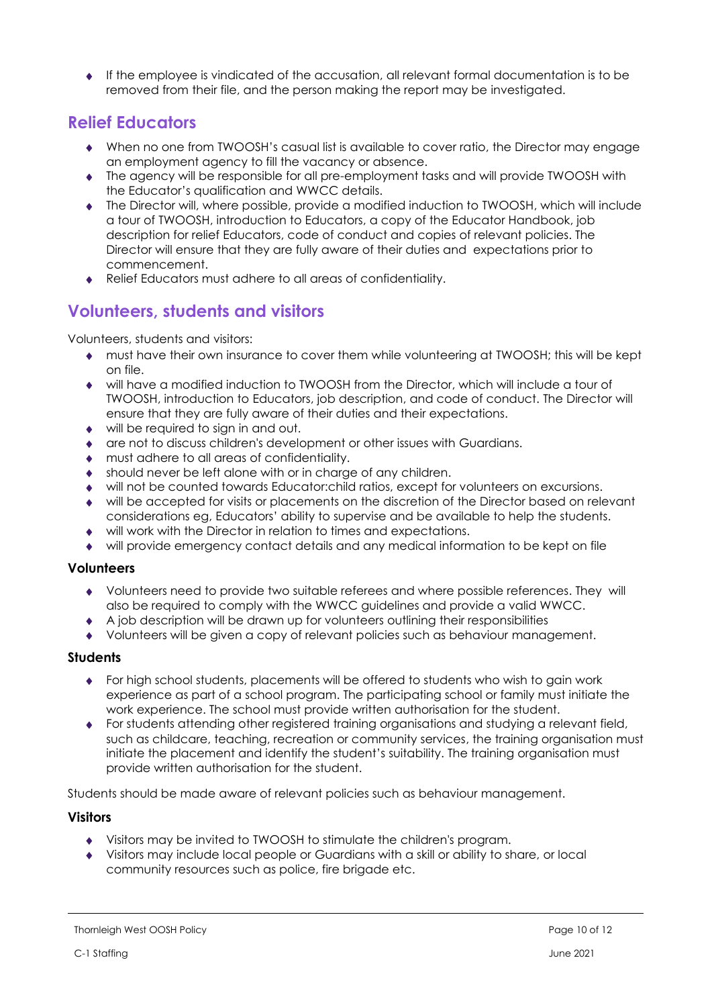If the employee is vindicated of the accusation, all relevant formal documentation is to be removed from their file, and the person making the report may be investigated.

# **Relief Educators**

- When no one from TWOOSH's casual list is available to cover ratio, the Director may engage an employment agency to fill the vacancy or absence.
- The agency will be responsible for all pre-employment tasks and will provide TWOOSH with the Educator's qualification and WWCC details.
- The Director will, where possible, provide a modified induction to TWOOSH, which will include a tour of TWOOSH, introduction to Educators, a copy of the Educator Handbook, job description for relief Educators, code of conduct and copies of relevant policies. The Director will ensure that they are fully aware of their duties and expectations prior to commencement.
- Relief Educators must adhere to all areas of confidentiality.

# **Volunteers, students and visitors**

Volunteers, students and visitors:

- must have their own insurance to cover them while volunteering at TWOOSH; this will be kept on file.
- will have a modified induction to TWOOSH from the Director, which will include a tour of TWOOSH, introduction to Educators, job description, and code of conduct. The Director will ensure that they are fully aware of their duties and their expectations.
- will be required to sign in and out.
- are not to discuss children's development or other issues with Guardians.
- must adhere to all areas of confidentiality.
- should never be left alone with or in charge of any children.
- will not be counted towards Educator:child ratios, except for volunteers on excursions.
- will be accepted for visits or placements on the discretion of the Director based on relevant considerations eg, Educators' ability to supervise and be available to help the students.
- will work with the Director in relation to times and expectations.
- will provide emergency contact details and any medical information to be kept on file

#### **Volunteers**

- Volunteers need to provide two suitable referees and where possible references. They will also be required to comply with the WWCC guidelines and provide a valid WWCC.
- A job description will be drawn up for volunteers outlining their responsibilities
- Volunteers will be given a copy of relevant policies such as behaviour management.

### **Students**

- For high school students, placements will be offered to students who wish to gain work experience as part of a school program. The participating school or family must initiate the work experience. The school must provide written authorisation for the student.
- For students attending other registered training organisations and studying a relevant field, such as childcare, teaching, recreation or community services, the training organisation must initiate the placement and identify the student's suitability. The training organisation must provide written authorisation for the student.

Students should be made aware of relevant policies such as behaviour management.

### **Visitors**

- Visitors may be invited to TWOOSH to stimulate the children's program.
- Visitors may include local people or Guardians with a skill or ability to share, or local community resources such as police, fire brigade etc.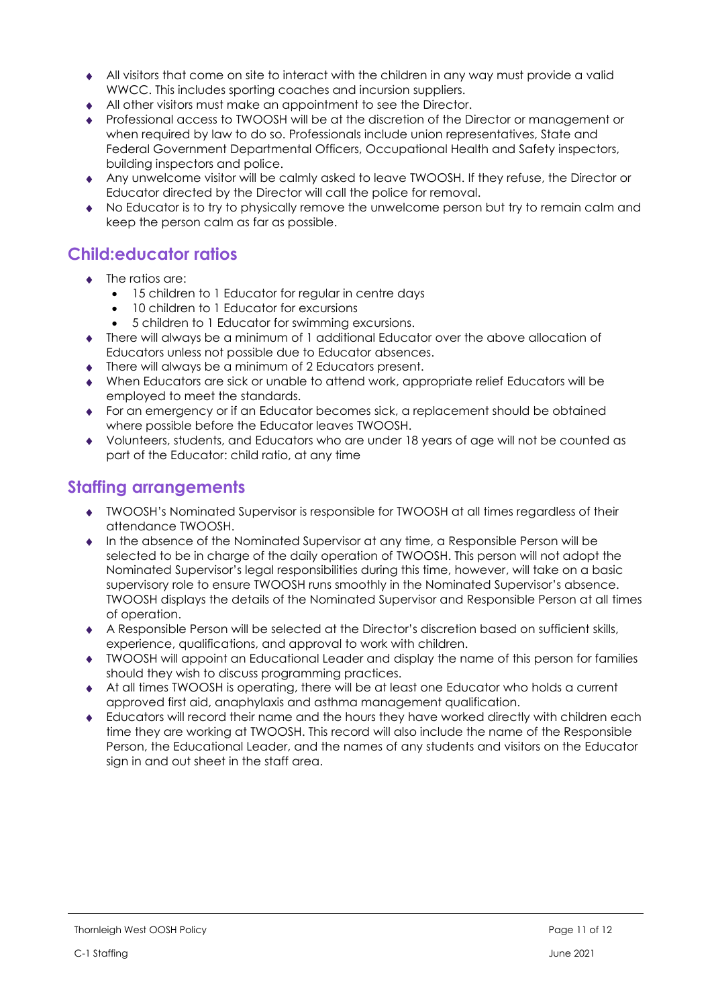- All visitors that come on site to interact with the children in any way must provide a valid WWCC. This includes sporting coaches and incursion suppliers.
- All other visitors must make an appointment to see the Director.
- Professional access to TWOOSH will be at the discretion of the Director or management or when required by law to do so. Professionals include union representatives, State and Federal Government Departmental Officers, Occupational Health and Safety inspectors, building inspectors and police.
- Any unwelcome visitor will be calmly asked to leave TWOOSH. If they refuse, the Director or Educator directed by the Director will call the police for removal.
- No Educator is to try to physically remove the unwelcome person but try to remain calm and keep the person calm as far as possible.

### **Child:educator ratios**

- The ratios are:
	- 15 children to 1 Educator for regular in centre days
	- 10 children to 1 Educator for excursions
	- 5 children to 1 Educator for swimming excursions.
- There will always be a minimum of 1 additional Educator over the above allocation of Educators unless not possible due to Educator absences.
- ◆ There will always be a minimum of 2 Educators present.
- When Educators are sick or unable to attend work, appropriate relief Educators will be employed to meet the standards.
- For an emergency or if an Educator becomes sick, a replacement should be obtained where possible before the Educator leaves TWOOSH.
- Volunteers, students, and Educators who are under 18 years of age will not be counted as part of the Educator: child ratio, at any time

# **Staffing arrangements**

- TWOOSH's Nominated Supervisor is responsible for TWOOSH at all times regardless of their attendance TWOOSH.
- In the absence of the Nominated Supervisor at any time, a Responsible Person will be selected to be in charge of the daily operation of TWOOSH. This person will not adopt the Nominated Supervisor's legal responsibilities during this time, however, will take on a basic supervisory role to ensure TWOOSH runs smoothly in the Nominated Supervisor's absence. TWOOSH displays the details of the Nominated Supervisor and Responsible Person at all times of operation.
- A Responsible Person will be selected at the Director's discretion based on sufficient skills, experience, qualifications, and approval to work with children.
- TWOOSH will appoint an Educational Leader and display the name of this person for families should they wish to discuss programming practices.
- At all times TWOOSH is operating, there will be at least one Educator who holds a current approved first aid, anaphylaxis and asthma management qualification.
- Educators will record their name and the hours they have worked directly with children each time they are working at TWOOSH. This record will also include the name of the Responsible Person, the Educational Leader, and the names of any students and visitors on the Educator sign in and out sheet in the staff area.